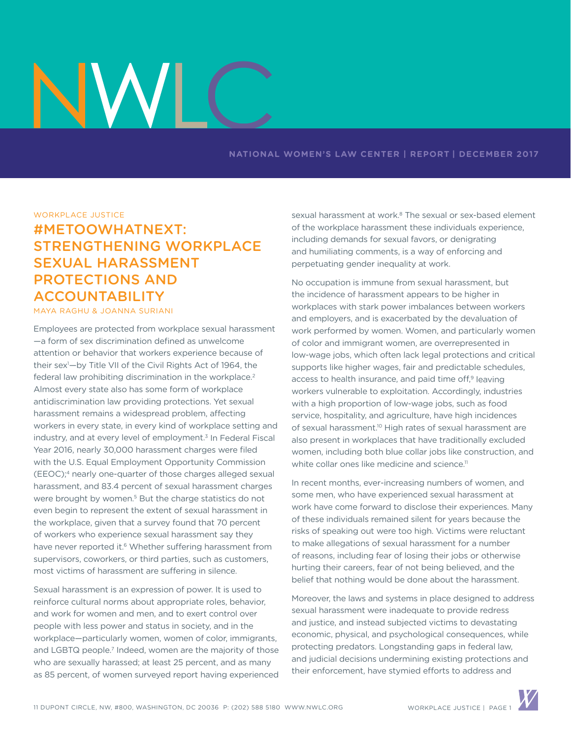# NV

#### **NATIONAL WOMEN'S LAW CENTER | REPORT | DECEMBER 2017**

WORKPLACE JUSTICE

# #METOOWHATNEXT: STRENGTHENING WORKPLACE SEXUAL HARASSMENT PROTECTIONS AND ACCOUNTABILITY

# MAYA RAGHU & JOANNA SURIANI

Employees are protected from workplace sexual harassment —a form of sex discrimination defined as unwelcome attention or behavior that workers experience because of their sex1 —by Title VII of the Civil Rights Act of 1964, the federal law prohibiting discrimination in the workplace.<sup>2</sup> Almost every state also has some form of workplace antidiscrimination law providing protections. Yet sexual harassment remains a widespread problem, affecting workers in every state, in every kind of workplace setting and industry, and at every level of employment.<sup>3</sup> In Federal Fiscal Year 2016, nearly 30,000 harassment charges were filed with the U.S. Equal Employment Opportunity Commission (EEOC);4 nearly one-quarter of those charges alleged sexual harassment, and 83.4 percent of sexual harassment charges were brought by women.<sup>5</sup> But the charge statistics do not even begin to represent the extent of sexual harassment in the workplace, given that a survey found that 70 percent of workers who experience sexual harassment say they have never reported it.<sup>6</sup> Whether suffering harassment from supervisors, coworkers, or third parties, such as customers, most victims of harassment are suffering in silence.

Sexual harassment is an expression of power. It is used to reinforce cultural norms about appropriate roles, behavior, and work for women and men, and to exert control over people with less power and status in society, and in the workplace—particularly women, women of color, immigrants, and LGBTQ people.<sup>7</sup> Indeed, women are the majority of those who are sexually harassed; at least 25 percent, and as many as 85 percent, of women surveyed report having experienced sexual harassment at work.<sup>8</sup> The sexual or sex-based element of the workplace harassment these individuals experience, including demands for sexual favors, or denigrating and humiliating comments, is a way of enforcing and perpetuating gender inequality at work.

No occupation is immune from sexual harassment, but the incidence of harassment appears to be higher in workplaces with stark power imbalances between workers and employers, and is exacerbated by the devaluation of work performed by women. Women, and particularly women of color and immigrant women, are overrepresented in low-wage jobs, which often lack legal protections and critical supports like higher wages, fair and predictable schedules, access to health insurance, and paid time off,<sup>9</sup> leaving workers vulnerable to exploitation. Accordingly, industries with a high proportion of low-wage jobs, such as food service, hospitality, and agriculture, have high incidences of sexual harassment.<sup>10</sup> High rates of sexual harassment are also present in workplaces that have traditionally excluded women, including both blue collar jobs like construction, and white collar ones like medicine and science.<sup>11</sup>

In recent months, ever-increasing numbers of women, and some men, who have experienced sexual harassment at work have come forward to disclose their experiences. Many of these individuals remained silent for years because the risks of speaking out were too high. Victims were reluctant to make allegations of sexual harassment for a number of reasons, including fear of losing their jobs or otherwise hurting their careers, fear of not being believed, and the belief that nothing would be done about the harassment.

Moreover, the laws and systems in place designed to address sexual harassment were inadequate to provide redress and justice, and instead subjected victims to devastating economic, physical, and psychological consequences, while protecting predators. Longstanding gaps in federal law, and judicial decisions undermining existing protections and their enforcement, have stymied efforts to address and

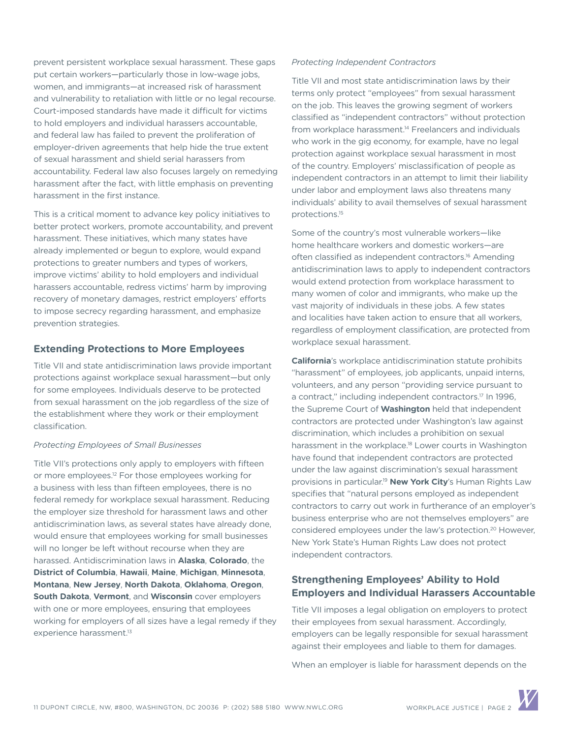prevent persistent workplace sexual harassment. These gaps put certain workers—particularly those in low-wage jobs, women, and immigrants—at increased risk of harassment and vulnerability to retaliation with little or no legal recourse. Court-imposed standards have made it difficult for victims to hold employers and individual harassers accountable, and federal law has failed to prevent the proliferation of employer-driven agreements that help hide the true extent of sexual harassment and shield serial harassers from accountability. Federal law also focuses largely on remedying harassment after the fact, with little emphasis on preventing harassment in the first instance.

This is a critical moment to advance key policy initiatives to better protect workers, promote accountability, and prevent harassment. These initiatives, which many states have already implemented or begun to explore, would expand protections to greater numbers and types of workers, improve victims' ability to hold employers and individual harassers accountable, redress victims' harm by improving recovery of monetary damages, restrict employers' efforts to impose secrecy regarding harassment, and emphasize prevention strategies.

# **Extending Protections to More Employees**

Title VII and state antidiscrimination laws provide important protections against workplace sexual harassment—but only for some employees. Individuals deserve to be protected from sexual harassment on the job regardless of the size of the establishment where they work or their employment classification.

#### *Protecting Employees of Small Businesses*

Title VII's protections only apply to employers with fifteen or more employees.12 For those employees working for a business with less than fifteen employees, there is no federal remedy for workplace sexual harassment. Reducing the employer size threshold for harassment laws and other antidiscrimination laws, as several states have already done, would ensure that employees working for small businesses will no longer be left without recourse when they are harassed. Antidiscrimination laws in **Alaska**, **Colorado**, the **District of Columbia**, **Hawaii**, **Maine**, **Michigan**, **Minnesota**, **Montana**, **New Jersey**, **North Dakota**, **Oklahoma**, **Oregon**, **South Dakota**, **Vermont**, and **Wisconsin** cover employers with one or more employees, ensuring that employees working for employers of all sizes have a legal remedy if they experience harassment.<sup>13</sup>

#### *Protecting Independent Contractors*

Title VII and most state antidiscrimination laws by their terms only protect "employees" from sexual harassment on the job. This leaves the growing segment of workers classified as "independent contractors" without protection from workplace harassment.<sup>14</sup> Freelancers and individuals who work in the gig economy, for example, have no legal protection against workplace sexual harassment in most of the country. Employers' misclassification of people as independent contractors in an attempt to limit their liability under labor and employment laws also threatens many individuals' ability to avail themselves of sexual harassment protections.15

Some of the country's most vulnerable workers—like home healthcare workers and domestic workers—are often classified as independent contractors.<sup>16</sup> Amending antidiscrimination laws to apply to independent contractors would extend protection from workplace harassment to many women of color and immigrants, who make up the vast majority of individuals in these jobs. A few states and localities have taken action to ensure that all workers, regardless of employment classification, are protected from workplace sexual harassment.

**California**'s workplace antidiscrimination statute prohibits "harassment" of employees, job applicants, unpaid interns, volunteers, and any person "providing service pursuant to a contract," including independent contractors.17 In 1996, the Supreme Court of **Washington** held that independent contractors are protected under Washington's law against discrimination, which includes a prohibition on sexual harassment in the workplace.<sup>18</sup> Lower courts in Washington have found that independent contractors are protected under the law against discrimination's sexual harassment provisions in particular.19 **New York City**'s Human Rights Law specifies that "natural persons employed as independent contractors to carry out work in furtherance of an employer's business enterprise who are not themselves employers" are considered employees under the law's protection.20 However, New York State's Human Rights Law does not protect independent contractors.

# **Strengthening Employees' Ability to Hold Employers and Individual Harassers Accountable**

Title VII imposes a legal obligation on employers to protect their employees from sexual harassment. Accordingly, employers can be legally responsible for sexual harassment against their employees and liable to them for damages.

When an employer is liable for harassment depends on the

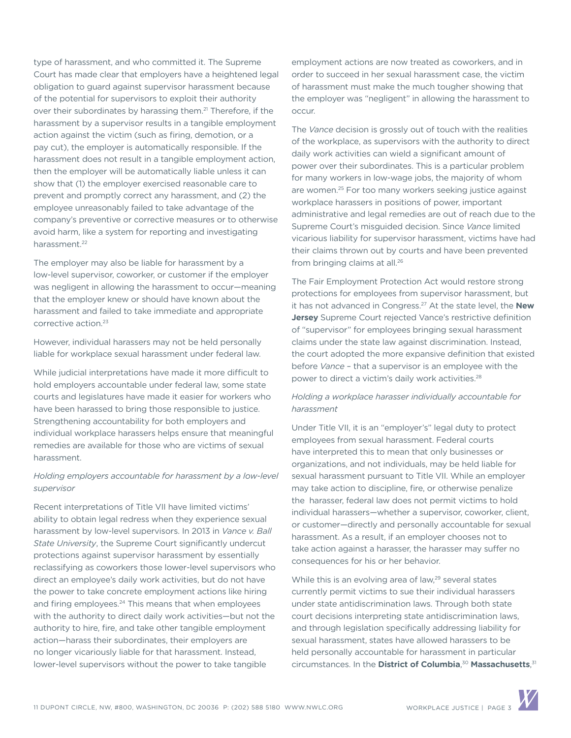type of harassment, and who committed it. The Supreme Court has made clear that employers have a heightened legal obligation to guard against supervisor harassment because of the potential for supervisors to exploit their authority over their subordinates by harassing them.<sup>21</sup> Therefore, if the harassment by a supervisor results in a tangible employment action against the victim (such as firing, demotion, or a pay cut), the employer is automatically responsible. If the harassment does not result in a tangible employment action, then the employer will be automatically liable unless it can show that (1) the employer exercised reasonable care to prevent and promptly correct any harassment, and (2) the employee unreasonably failed to take advantage of the company's preventive or corrective measures or to otherwise avoid harm, like a system for reporting and investigating harassment.<sup>22</sup>

The employer may also be liable for harassment by a low-level supervisor, coworker, or customer if the employer was negligent in allowing the harassment to occur—meaning that the employer knew or should have known about the harassment and failed to take immediate and appropriate corrective action.23

However, individual harassers may not be held personally liable for workplace sexual harassment under federal law.

While judicial interpretations have made it more difficult to hold employers accountable under federal law, some state courts and legislatures have made it easier for workers who have been harassed to bring those responsible to justice. Strengthening accountability for both employers and individual workplace harassers helps ensure that meaningful remedies are available for those who are victims of sexual harassment.

# *Holding employers accountable for harassment by a low-level supervisor*

Recent interpretations of Title VII have limited victims' ability to obtain legal redress when they experience sexual harassment by low-level supervisors. In 2013 in *Vance v. Ball State University*, the Supreme Court significantly undercut protections against supervisor harassment by essentially reclassifying as coworkers those lower-level supervisors who direct an employee's daily work activities, but do not have the power to take concrete employment actions like hiring and firing employees.<sup>24</sup> This means that when employees with the authority to direct daily work activities—but not the authority to hire, fire, and take other tangible employment action—harass their subordinates, their employers are no longer vicariously liable for that harassment. Instead, lower-level supervisors without the power to take tangible

employment actions are now treated as coworkers, and in order to succeed in her sexual harassment case, the victim of harassment must make the much tougher showing that the employer was "negligent" in allowing the harassment to occur.

The *Vance* decision is grossly out of touch with the realities of the workplace, as supervisors with the authority to direct daily work activities can wield a significant amount of power over their subordinates. This is a particular problem for many workers in low-wage jobs, the majority of whom are women.25 For too many workers seeking justice against workplace harassers in positions of power, important administrative and legal remedies are out of reach due to the Supreme Court's misguided decision. Since *Vance* limited vicarious liability for supervisor harassment, victims have had their claims thrown out by courts and have been prevented from bringing claims at all.<sup>26</sup>

The Fair Employment Protection Act would restore strong protections for employees from supervisor harassment, but it has not advanced in Congress.27 At the state level, the **New Jersey** Supreme Court rejected Vance's restrictive definition of "supervisor" for employees bringing sexual harassment claims under the state law against discrimination. Instead, the court adopted the more expansive definition that existed before *Vance* – that a supervisor is an employee with the power to direct a victim's daily work activities.<sup>28</sup>

# *Holding a workplace harasser individually accountable for harassment*

Under Title VII, it is an "employer's" legal duty to protect employees from sexual harassment. Federal courts have interpreted this to mean that only businesses or organizations, and not individuals, may be held liable for sexual harassment pursuant to Title VII. While an employer may take action to discipline, fire, or otherwise penalize the harasser, federal law does not permit victims to hold individual harassers—whether a supervisor, coworker, client, or customer—directly and personally accountable for sexual harassment. As a result, if an employer chooses not to take action against a harasser, the harasser may suffer no consequences for his or her behavior.

While this is an evolving area of law,<sup>29</sup> several states currently permit victims to sue their individual harassers under state antidiscrimination laws. Through both state court decisions interpreting state antidiscrimination laws, and through legislation specifically addressing liability for sexual harassment, states have allowed harassers to be held personally accountable for harassment in particular circumstances. In the **District of Columbia**, <sup>30</sup> **Massachusetts**, 31

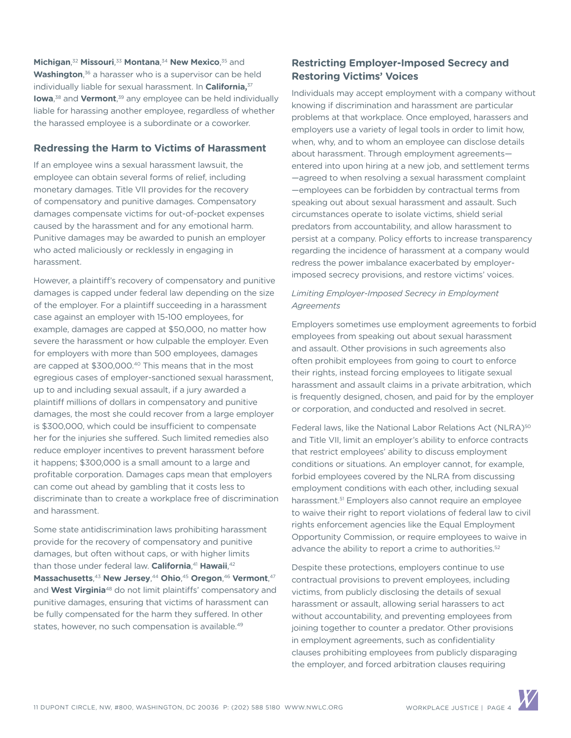**Michigan,<sup>32</sup> Missouri,<sup>33</sup> Montana,<sup>34</sup> New Mexico,<sup>35</sup> and Washington**, 36 a harasser who is a supervisor can be held individually liable for sexual harassment. In **California,**<sup>37</sup> **Iowa**<sup>38</sup> and **Vermont**,<sup>39</sup> any employee can be held individually liable for harassing another employee, regardless of whether the harassed employee is a subordinate or a coworker.

# **Redressing the Harm to Victims of Harassment**

If an employee wins a sexual harassment lawsuit, the employee can obtain several forms of relief, including monetary damages. Title VII provides for the recovery of compensatory and punitive damages. Compensatory damages compensate victims for out-of-pocket expenses caused by the harassment and for any emotional harm. Punitive damages may be awarded to punish an employer who acted maliciously or recklessly in engaging in harassment.

However, a plaintiff's recovery of compensatory and punitive damages is capped under federal law depending on the size of the employer. For a plaintiff succeeding in a harassment case against an employer with 15-100 employees, for example, damages are capped at \$50,000, no matter how severe the harassment or how culpable the employer. Even for employers with more than 500 employees, damages are capped at \$300,000.<sup>40</sup> This means that in the most egregious cases of employer-sanctioned sexual harassment, up to and including sexual assault, if a jury awarded a plaintiff millions of dollars in compensatory and punitive damages, the most she could recover from a large employer is \$300,000, which could be insufficient to compensate her for the injuries she suffered. Such limited remedies also reduce employer incentives to prevent harassment before it happens; \$300,000 is a small amount to a large and profitable corporation. Damages caps mean that employers can come out ahead by gambling that it costs less to discriminate than to create a workplace free of discrimination and harassment.

Some state antidiscrimination laws prohibiting harassment provide for the recovery of compensatory and punitive damages, but often without caps, or with higher limits than those under federal law. **California**, <sup>41</sup> **Hawaii**, 42 **Massachusetts**, <sup>43</sup> **New Jersey**, <sup>44</sup> **Ohio**, <sup>45</sup> **Oregon**, <sup>46</sup> **Vermont**, 47 and **West Virginia**48 do not limit plaintiffs' compensatory and punitive damages, ensuring that victims of harassment can be fully compensated for the harm they suffered. In other states, however, no such compensation is available.<sup>49</sup>

# **Restricting Employer-Imposed Secrecy and Restoring Victims' Voices**

Individuals may accept employment with a company without knowing if discrimination and harassment are particular problems at that workplace. Once employed, harassers and employers use a variety of legal tools in order to limit how, when, why, and to whom an employee can disclose details about harassment. Through employment agreements entered into upon hiring at a new job, and settlement terms —agreed to when resolving a sexual harassment complaint —employees can be forbidden by contractual terms from speaking out about sexual harassment and assault. Such circumstances operate to isolate victims, shield serial predators from accountability, and allow harassment to persist at a company. Policy efforts to increase transparency regarding the incidence of harassment at a company would redress the power imbalance exacerbated by employerimposed secrecy provisions, and restore victims' voices.

# *Limiting Employer-Imposed Secrecy in Employment Agreements*

Employers sometimes use employment agreements to forbid employees from speaking out about sexual harassment and assault. Other provisions in such agreements also often prohibit employees from going to court to enforce their rights, instead forcing employees to litigate sexual harassment and assault claims in a private arbitration, which is frequently designed, chosen, and paid for by the employer or corporation, and conducted and resolved in secret.

Federal laws, like the National Labor Relations Act (NLRA)<sup>50</sup> and Title VII, limit an employer's ability to enforce contracts that restrict employees' ability to discuss employment conditions or situations. An employer cannot, for example, forbid employees covered by the NLRA from discussing employment conditions with each other, including sexual harassment.<sup>51</sup> Employers also cannot require an employee to waive their right to report violations of federal law to civil rights enforcement agencies like the Equal Employment Opportunity Commission, or require employees to waive in advance the ability to report a crime to authorities.<sup>52</sup>

Despite these protections, employers continue to use contractual provisions to prevent employees, including victims, from publicly disclosing the details of sexual harassment or assault, allowing serial harassers to act without accountability, and preventing employees from joining together to counter a predator. Other provisions in employment agreements, such as confidentiality clauses prohibiting employees from publicly disparaging the employer, and forced arbitration clauses requiring

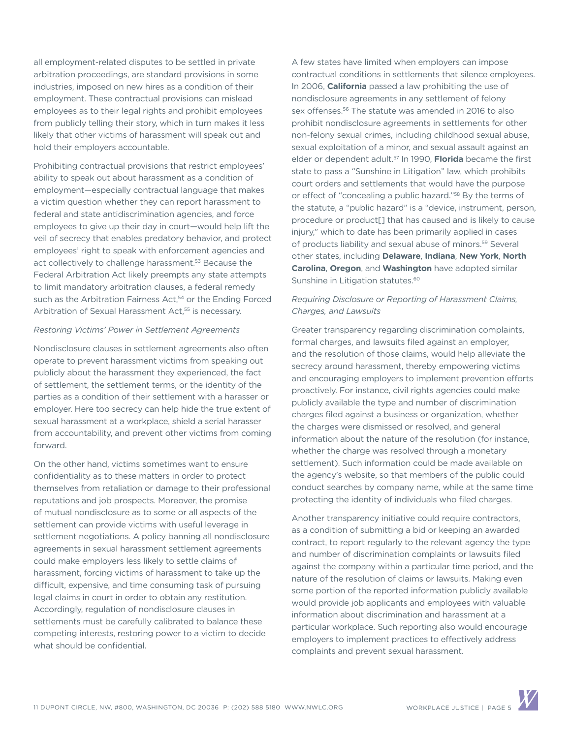all employment-related disputes to be settled in private arbitration proceedings, are standard provisions in some industries, imposed on new hires as a condition of their employment. These contractual provisions can mislead employees as to their legal rights and prohibit employees from publicly telling their story, which in turn makes it less likely that other victims of harassment will speak out and hold their employers accountable.

Prohibiting contractual provisions that restrict employees' ability to speak out about harassment as a condition of employment—especially contractual language that makes a victim question whether they can report harassment to federal and state antidiscrimination agencies, and force employees to give up their day in court—would help lift the veil of secrecy that enables predatory behavior, and protect employees' right to speak with enforcement agencies and act collectively to challenge harassment.<sup>53</sup> Because the Federal Arbitration Act likely preempts any state attempts to limit mandatory arbitration clauses, a federal remedy such as the Arbitration Fairness Act,<sup>54</sup> or the Ending Forced Arbitration of Sexual Harassment Act,<sup>55</sup> is necessary.

#### *Restoring Victims' Power in Settlement Agreements*

Nondisclosure clauses in settlement agreements also often operate to prevent harassment victims from speaking out publicly about the harassment they experienced, the fact of settlement, the settlement terms, or the identity of the parties as a condition of their settlement with a harasser or employer. Here too secrecy can help hide the true extent of sexual harassment at a workplace, shield a serial harasser from accountability, and prevent other victims from coming forward.

On the other hand, victims sometimes want to ensure confidentiality as to these matters in order to protect themselves from retaliation or damage to their professional reputations and job prospects. Moreover, the promise of mutual nondisclosure as to some or all aspects of the settlement can provide victims with useful leverage in settlement negotiations. A policy banning all nondisclosure agreements in sexual harassment settlement agreements could make employers less likely to settle claims of harassment, forcing victims of harassment to take up the difficult, expensive, and time consuming task of pursuing legal claims in court in order to obtain any restitution. Accordingly, regulation of nondisclosure clauses in settlements must be carefully calibrated to balance these competing interests, restoring power to a victim to decide what should be confidential.

A few states have limited when employers can impose contractual conditions in settlements that silence employees. In 2006, **California** passed a law prohibiting the use of nondisclosure agreements in any settlement of felony sex offenses.<sup>56</sup> The statute was amended in 2016 to also prohibit nondisclosure agreements in settlements for other non-felony sexual crimes, including childhood sexual abuse, sexual exploitation of a minor, and sexual assault against an elder or dependent adult.57 In 1990, **Florida** became the first state to pass a "Sunshine in Litigation" law, which prohibits court orders and settlements that would have the purpose or effect of "concealing a public hazard."<sup>58</sup> By the terms of the statute, a "public hazard" is a "device, instrument, person, procedure or product[] that has caused and is likely to cause injury," which to date has been primarily applied in cases of products liability and sexual abuse of minors.59 Several other states, including **Delaware**, **Indiana**, **New York**, **North Carolina**, **Oregon**, and **Washington** have adopted similar Sunshine in Litigation statutes.<sup>60</sup>

# *Requiring Disclosure or Reporting of Harassment Claims, Charges, and Lawsuits*

Greater transparency regarding discrimination complaints, formal charges, and lawsuits filed against an employer, and the resolution of those claims, would help alleviate the secrecy around harassment, thereby empowering victims and encouraging employers to implement prevention efforts proactively. For instance, civil rights agencies could make publicly available the type and number of discrimination charges filed against a business or organization, whether the charges were dismissed or resolved, and general information about the nature of the resolution (for instance, whether the charge was resolved through a monetary settlement). Such information could be made available on the agency's website, so that members of the public could conduct searches by company name, while at the same time protecting the identity of individuals who filed charges.

Another transparency initiative could require contractors, as a condition of submitting a bid or keeping an awarded contract, to report regularly to the relevant agency the type and number of discrimination complaints or lawsuits filed against the company within a particular time period, and the nature of the resolution of claims or lawsuits. Making even some portion of the reported information publicly available would provide job applicants and employees with valuable information about discrimination and harassment at a particular workplace. Such reporting also would encourage employers to implement practices to effectively address complaints and prevent sexual harassment.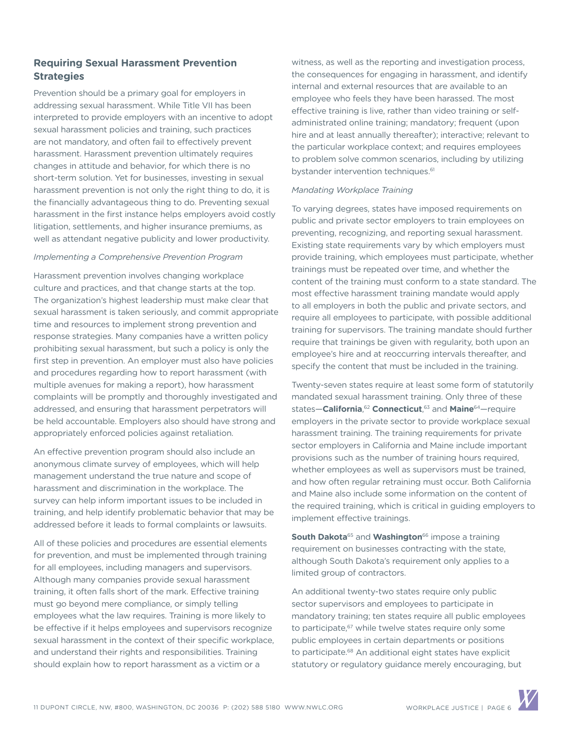# **Requiring Sexual Harassment Prevention Strategies**

Prevention should be a primary goal for employers in addressing sexual harassment. While Title VII has been interpreted to provide employers with an incentive to adopt sexual harassment policies and training, such practices are not mandatory, and often fail to effectively prevent harassment. Harassment prevention ultimately requires changes in attitude and behavior, for which there is no short-term solution. Yet for businesses, investing in sexual harassment prevention is not only the right thing to do, it is the financially advantageous thing to do. Preventing sexual harassment in the first instance helps employers avoid costly litigation, settlements, and higher insurance premiums, as well as attendant negative publicity and lower productivity.

#### *Implementing a Comprehensive Prevention Program*

Harassment prevention involves changing workplace culture and practices, and that change starts at the top. The organization's highest leadership must make clear that sexual harassment is taken seriously, and commit appropriate time and resources to implement strong prevention and response strategies. Many companies have a written policy prohibiting sexual harassment, but such a policy is only the first step in prevention. An employer must also have policies and procedures regarding how to report harassment (with multiple avenues for making a report), how harassment complaints will be promptly and thoroughly investigated and addressed, and ensuring that harassment perpetrators will be held accountable. Employers also should have strong and appropriately enforced policies against retaliation.

An effective prevention program should also include an anonymous climate survey of employees, which will help management understand the true nature and scope of harassment and discrimination in the workplace. The survey can help inform important issues to be included in training, and help identify problematic behavior that may be addressed before it leads to formal complaints or lawsuits.

All of these policies and procedures are essential elements for prevention, and must be implemented through training for all employees, including managers and supervisors. Although many companies provide sexual harassment training, it often falls short of the mark. Effective training must go beyond mere compliance, or simply telling employees what the law requires. Training is more likely to be effective if it helps employees and supervisors recognize sexual harassment in the context of their specific workplace, and understand their rights and responsibilities. Training should explain how to report harassment as a victim or a

witness, as well as the reporting and investigation process, the consequences for engaging in harassment, and identify internal and external resources that are available to an employee who feels they have been harassed. The most effective training is live, rather than video training or selfadministrated online training; mandatory; frequent (upon hire and at least annually thereafter); interactive; relevant to the particular workplace context; and requires employees to problem solve common scenarios, including by utilizing bystander intervention techniques.<sup>61</sup>

#### *Mandating Workplace Training*

To varying degrees, states have imposed requirements on public and private sector employers to train employees on preventing, recognizing, and reporting sexual harassment. Existing state requirements vary by which employers must provide training, which employees must participate, whether trainings must be repeated over time, and whether the content of the training must conform to a state standard. The most effective harassment training mandate would apply to all employers in both the public and private sectors, and require all employees to participate, with possible additional training for supervisors. The training mandate should further require that trainings be given with regularity, both upon an employee's hire and at reoccurring intervals thereafter, and specify the content that must be included in the training.

Twenty-seven states require at least some form of statutorily mandated sexual harassment training. Only three of these states—**California**, <sup>62</sup> **Connecticut**, 63 and **Maine**64—require employers in the private sector to provide workplace sexual harassment training. The training requirements for private sector employers in California and Maine include important provisions such as the number of training hours required, whether employees as well as supervisors must be trained, and how often regular retraining must occur. Both California and Maine also include some information on the content of the required training, which is critical in guiding employers to implement effective trainings.

**South Dakota**<sup>65</sup> and **Washington**<sup>66</sup> impose a training requirement on businesses contracting with the state, although South Dakota's requirement only applies to a limited group of contractors.

An additional twenty-two states require only public sector supervisors and employees to participate in mandatory training; ten states require all public employees to participate,<sup>67</sup> while twelve states require only some public employees in certain departments or positions to participate.68 An additional eight states have explicit statutory or regulatory guidance merely encouraging, but

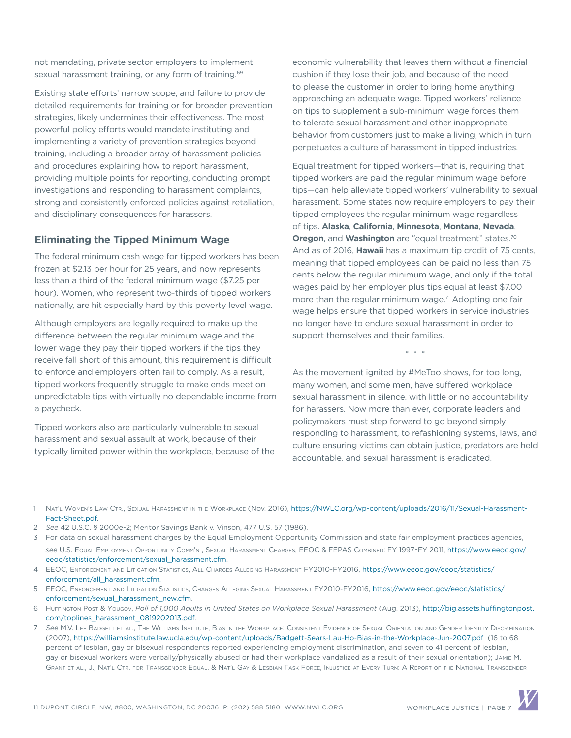not mandating, private sector employers to implement sexual harassment training, or any form of training.<sup>69</sup>

Existing state efforts' narrow scope, and failure to provide detailed requirements for training or for broader prevention strategies, likely undermines their effectiveness. The most powerful policy efforts would mandate instituting and implementing a variety of prevention strategies beyond training, including a broader array of harassment policies and procedures explaining how to report harassment, providing multiple points for reporting, conducting prompt investigations and responding to harassment complaints, strong and consistently enforced policies against retaliation, and disciplinary consequences for harassers.

#### **Eliminating the Tipped Minimum Wage**

The federal minimum cash wage for tipped workers has been frozen at \$2.13 per hour for 25 years, and now represents less than a third of the federal minimum wage (\$7.25 per hour). Women, who represent two-thirds of tipped workers nationally, are hit especially hard by this poverty level wage.

Although employers are legally required to make up the difference between the regular minimum wage and the lower wage they pay their tipped workers if the tips they receive fall short of this amount, this requirement is difficult to enforce and employers often fail to comply. As a result, tipped workers frequently struggle to make ends meet on unpredictable tips with virtually no dependable income from a paycheck.

Tipped workers also are particularly vulnerable to sexual harassment and sexual assault at work, because of their typically limited power within the workplace, because of the economic vulnerability that leaves them without a financial cushion if they lose their job, and because of the need to please the customer in order to bring home anything approaching an adequate wage. Tipped workers' reliance on tips to supplement a sub-minimum wage forces them to tolerate sexual harassment and other inappropriate behavior from customers just to make a living, which in turn perpetuates a culture of harassment in tipped industries.

Equal treatment for tipped workers—that is, requiring that tipped workers are paid the regular minimum wage before tips—can help alleviate tipped workers' vulnerability to sexual harassment. Some states now require employers to pay their tipped employees the regular minimum wage regardless of tips. **Alaska**, **California**, **Minnesota**, **Montana**, **Nevada**, **Oregon**, and **Washington** are "equal treatment" states.<sup>70</sup> And as of 2016, **Hawaii** has a maximum tip credit of 75 cents, meaning that tipped employees can be paid no less than 75 cents below the regular minimum wage, and only if the total wages paid by her employer plus tips equal at least \$7.00 more than the regular minimum wage.<sup>71</sup> Adopting one fair wage helps ensure that tipped workers in service industries no longer have to endure sexual harassment in order to support themselves and their families.

\* \* \*

As the movement ignited by #MeToo shows, for too long, many women, and some men, have suffered workplace sexual harassment in silence, with little or no accountability for harassers. Now more than ever, corporate leaders and policymakers must step forward to go beyond simply responding to harassment, to refashioning systems, laws, and culture ensuring victims can obtain justice, predators are held accountable, and sexual harassment is eradicated.

- 1 Nat'<sup>l</sup> Women'<sup>s</sup> Law Ctr., Sexual Harassment in the Workplace (Nov. 2016), [https://NWLC.org/wp-content/uploads/2016/11/Sexual-Harassment-](https://nwlc.org/wp-content/uploads/2016/11/Sexual-Harassment-Fact-Sheet.pdf)[Fact-Sheet.pdf.](https://nwlc.org/wp-content/uploads/2016/11/Sexual-Harassment-Fact-Sheet.pdf)
- 2 *See* 42 U.S.C. § 2000e-2; Meritor Savings Bank v. Vinson, 477 U.S. 57 (1986).
- 3 For data on sexual harassment charges by the Equal Employment Opportunity Commission and state fair employment practices agencies, *see* U.S. Equal Employment Opportunity Comm'n , Sexual Harassment Charges, EEOC & FEPAS Combined: FY 1997-FY 2011, [https://www.eeoc.gov/](https://www.eeoc.gov/eeoc/statistics/enforcement/sexual_harassment.cfm) [eeoc/statistics/enforcement/sexual\\_harassment.cfm.](https://www.eeoc.gov/eeoc/statistics/enforcement/sexual_harassment.cfm)
- 4 EEOC, Enforcement and Litigation Statistics, All Charges Alleging Harassment FY2010-FY2016, [https://www.eeoc.gov/eeoc/statistics/](https://www.eeoc.gov/eeoc/statistics/enforcement/all_harassment.cfm) [enforcement/all\\_harassment.cfm](https://www.eeoc.gov/eeoc/statistics/enforcement/all_harassment.cfm).
- 5 EEOC, Enforcement and Litigation Statistics, Charges Alleging Sexual Harassment FY2010-FY2016, [https://www.eeoc.gov/eeoc/statistics/](https://www.eeoc.gov/eeoc/statistics/enforcement/sexual_harassment_new.cfm) [enforcement/sexual\\_harassment\\_new.cfm](https://www.eeoc.gov/eeoc/statistics/enforcement/sexual_harassment_new.cfm).
- 6 HuFFINGTON Post & Yougov, Poll of 1,000 Adults in United States on Workplace Sexual Harassment (Aug. 2013), [http://big.assets.huffingtonpost.](http://big.assets.huffingtonpost.com/toplines_harassment_0819202013.pdf) [com/toplines\\_harassment\\_0819202013.pdf.](http://big.assets.huffingtonpost.com/toplines_harassment_0819202013.pdf)
- 7 *See* M.V. Lee Badgett et al., The Williams Institute, Bias in the Workplace: Consistent Evidence of Sexual Orientation and Gender Identity Discrimination (2007),<https://williamsinstitute.law.ucla.edu/wp-content/uploads/Badgett-Sears-Lau-Ho-Bias-in-the-Workplace-Jun-2007.pdf>(16 to 68 percent of lesbian, gay or bisexual respondents reported experiencing employment discrimination, and seven to 41 percent of lesbian, gay or bisexual workers were verbally/physically abused or had their workplace vandalized as a result of their sexual orientation); JAMIE M. Grant et al., J., Nat'<sup>l</sup> Ctr. for Transgender Equal. & Nat'<sup>l</sup> Gay & Lesbian Task Force, Injustice at Every Turn: A Report of the National Transgender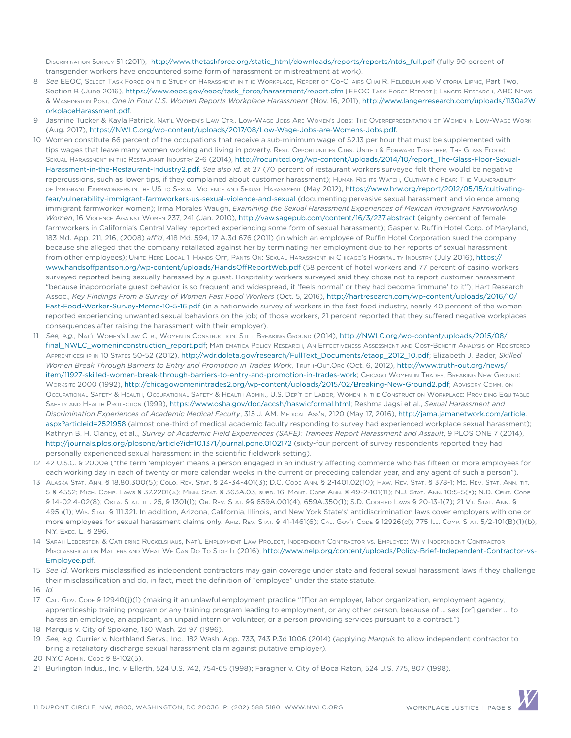DISCRIMINATION SURVEY 51 (2011), [http://www.thetaskforce.org/static\\_html/downloads/reports/reports/ntds\\_full.pdf](http://www.thetaskforce.org/static_html/downloads/reports/reports/ntds_full.pdf) (fully 90 percent of transgender workers have encountered some form of harassment or mistreatment at work).

- 8 *See* EEOC, Select Task Force on the Study of Harassment in the Workplace, Report of Co-Chairs Chai R. Feldblum and Victoria Lipnic, Part Two, Section B (June 2016), [https://www.eeoc.gov/eeoc/task\\_force/harassment/report.cfm](https://www.eeoc.gov/eeoc/task_force/harassment/report.cfm) [EEOC TASK Force Report]; LANGER RESEARCH, ABC News & Washington Post, *One in Four U.S. Women Reports Workplace Harassment* (Nov. 16, 2011), [http://www.langerresearch.com/uploads/1130a2W](http://www.langerresearch.com/uploads/1130a2WorkplaceHarassment.pdf) [orkplaceHarassment.pdf](http://www.langerresearch.com/uploads/1130a2WorkplaceHarassment.pdf).
- 9 Jasmine Tucker & Kayla Patrick, Nat'<sup>l</sup> Women'<sup>s</sup> Law Ctr., Low-Wage Jobs Are Women'<sup>s</sup> Jobs: The Overrepresentation of Women in Low-Wage Work (Aug. 2017), [https://NWLC.org/wp-content/uploads/2017/08/Low-Wage-Jobs-are-Womens-Jobs.pdf](https://nwlc.org/wp-content/uploads/2017/08/Low-Wage-Jobs-are-Womens-Jobs.pdf).
- 10 Women constitute 66 percent of the occupations that receive a sub-minimum wage of \$2.13 per hour that must be supplemented with tips wages that leave many women working and living in poverty. Rest. Opportunities Ctrs. United & Forward Together, The Glass Floor: Sexual Harassment in the Restaurant Industry 2-6 (2014), [http://rocunited.org/wp-content/uploads/2014/10/report\\_The-Glass-Floor-Sexual-](http://rocunited.org/wp-content/uploads/2014/10/report_The-Glass-Floor-Sexual-Harassment-in-the-Restaurant-Industry2.pdf)[Harassment-in-the-Restaurant-Industry2.pdf](http://rocunited.org/wp-content/uploads/2014/10/report_The-Glass-Floor-Sexual-Harassment-in-the-Restaurant-Industry2.pdf). *See also id.* at 27 (70 percent of restaurant workers surveyed felt there would be negative repercussions, such as lower tips, if they complained about customer harassment); Human Rights Watch, Cultivating Fear: The Vulnerability of Immigrant Farmworkers in the US to Sexual Violence and Sexual Harassment (May 2012), [https://www.hrw.org/report/2012/05/15/cultivating](ttps://www.hrw.org/report/2012/05/15/cultivating-fear/vulnerability-immigrant-farmworkers-us-sexual-violence-and-sexual)[fear/vulnerability-immigrant-farmworkers-us-sexual-violence-and-sexual](ttps://www.hrw.org/report/2012/05/15/cultivating-fear/vulnerability-immigrant-farmworkers-us-sexual-violence-and-sexual) (documenting pervasive sexual harassment and violence among immigrant farmworker women); Irma Morales Waugh, *Examining the Sexual Harassment Experiences of Mexican Immigrant Farmworking Women*, 16 Violence Against Women 237, 241 (Jan. 2010),<http://vaw.sagepub.com/content/16/3/237.abstract>(eighty percent of female farmworkers in California's Central Valley reported experiencing some form of sexual harassment); Gasper v. Ruffin Hotel Corp. of Maryland, 183 Md. App. 211, 216, (2008) *aff'd*, 418 Md. 594, 17 A.3d 676 (2011) (in which an employee of Ruffin Hotel Corporation sued the company because she alleged that the company retaliated against her by terminating her employment due to her reports of sexual harassment from other employees); Unite Here Local 1, Hands Off, Pants On: Sexual Harassment in Chicago's Hospitality Industry (July 2016), [https://](https://www.handsoffpantson.org/wp-content/uploads/HandsOffReportWeb.pdf) [www.handsoffpantson.org/wp-content/uploads/HandsOffReportWeb.pdf](https://www.handsoffpantson.org/wp-content/uploads/HandsOffReportWeb.pdf) (58 percent of hotel workers and 77 percent of casino workers surveyed reported being sexually harassed by a guest. Hospitality workers surveyed said they chose not to report customer harassment "because inappropriate guest behavior is so frequent and widespread, it 'feels normal' or they had become 'immune' to it"); Hart Research Assoc., *Key Findings From a Survey of Women Fast Food Workers* (Oct. 5, 2016), [http://hartresearch.com/wp-content/uploads/2016/10/](http://hartresearch.com/wp-content/uploads/2016/10/Fast-Food-Worker-Survey-Memo-10-5-16.pdf) [Fast-Food-Worker-Survey-Memo-10-5-16.pdf](http://hartresearch.com/wp-content/uploads/2016/10/Fast-Food-Worker-Survey-Memo-10-5-16.pdf) (in a nationwide survey of workers in the fast food industry, nearly 40 percent of the women reported experiencing unwanted sexual behaviors on the job; of those workers, 21 percent reported that they suffered negative workplaces consequences after raising the harassment with their employer).
- 11 *See, e.g.*, Nat'<sup>l</sup> Women'<sup>s</sup> Law Ctr., Women in Construction: Still Breaking Ground (2014), [http://NWLC.org/wp-content/uploads/2015/08/](http://nwlc.org/wp-content/uploads/2015/08/final_nwlc_womeninconstruction_report.pdf) [final\\_NWLC\\_womeninconstruction\\_report.pdf;](http://nwlc.org/wp-content/uploads/2015/08/final_nwlc_womeninconstruction_report.pdf) Mathematica Policy Research, An Effectiveness Assessment and Cost-Benefit Analysis of Registered Apprenticeship in 10 States 50-52 (2012), [http://wdr.doleta.gov/research/FullText\\_Documents/etaop\\_2012\\_10.pdf](http://wdr.doleta.gov/research/FullText_Documents/etaop_2012_10.pdf); Elizabeth J. Bader, *Skilled Women Break Through Barriers to Entry and Promotion in Trades Work*, TRUTH-OUT.ORG (Oct. 6, 2012), [http://www.truth-out.org/news/](http://www.truth-out.org/news/item/11927-skilled-women-break-through-barriers-to-entry-and-promotion-in-trades-work) [item/11927-skilled-women-break-through-barriers-to-entry-and-promotion-in-trades-work;](http://www.truth-out.org/news/item/11927-skilled-women-break-through-barriers-to-entry-and-promotion-in-trades-work) Chicago Women in Trades, Breaking New Ground: Worksite 2000 (1992), [http://chicagowomenintrades2.org/wp-content/uploads/2015/02/Breaking-New-Ground2.pdf;](http://chicagowomenintrades2.org/wp-content/uploads/2015/02/Breaking-New-Ground2.pdf) Advisory Comm. on Occupational Safety & Health, Occupational Safety & Health Admin., U.S. Dep'<sup>t</sup> of Labor, Women in the Construction Workplace: Providing Equitable Safety and Health Protection (1999), [https://www.osha.gov/doc/accsh/haswicformal.html;](https://www.osha.gov/doc/accsh/haswicformal.html) Reshma Jagsi et al., *Sexual Harassment and*  Discrimination Experiences of Academic Medical Faculty, 315 J. AM. MEDICAL Ass'n, 2120 (May 17, 2016), [http://jama.jamanetwork.com/article.](http://jama.jamanetwork.com/article.aspx?articleid=2521958) [aspx?articleid=2521958](http://jama.jamanetwork.com/article.aspx?articleid=2521958) (almost one-third of medical academic faculty responding to survey had experienced workplace sexual harassment); Kathryn B. H. Clancy, et al.,, *Survey of Academic Field Experiences (SAFE): Trainees Report Harassment and Assault*, 9 PLOS ONE 7 (2014), [http://journals.plos.org/plosone/article?id=10.1371/journal.pone.0102172](http://journals.plos.org/plosone/article?id=10.1371/journal.pone.0102172 ) (sixty-four percent of survey respondents reported they had personally experienced sexual harassment in the scientific fieldwork setting).
- 12 42 U.S.C. § 2000e ("the term 'employer' means a person engaged in an industry affecting commerce who has fifteen or more employees for each working day in each of twenty or more calendar weeks in the current or preceding calendar year, and any agent of such a person").
- 13 Alaska Stat. Ann. § 18.80.300(5); Colo. Rev. Stat. § 24-34-401(3); D.C. Code Ann. § 2-1401.02(10); Haw. Rev. Stat. § 378-1; Me. Rev. Stat. Ann. tit. 5 § 4552; Mich. Comp. Laws § 37.2201(a); Minn. Stat. § 363A.03, subd. 16; Mont. Code Ann. § 49-2-101(11); N.J. Stat. Ann. 10:5-5(e); N.D. Cent. Code § 14-02.4-02(8); Okla. Stat. tit. 25, § 1301(1); Or. Rev. Stat. §§ 659A.001(4), 659A.350(1); S.D. Codified Laws § 20-13-1(7); 21 Vt. Stat. Ann. § 495d(1); Wis. Stat. § 111.321. In addition, Arizona, California, Illinois, and New York State's' antidiscrimination laws cover employers with one or more employees for sexual harassment claims only. ARIZ. REV. STAT. § 41-1461(6); CAL. Gov't Code § 12926(d); 775 ILL. Comp. STAT. 5/2-101(B)(1)(b); N.Y. Exec. L. § 296.
- 14 Sarah Leberstein & Catherine Ruckelshaus, Nat'<sup>l</sup> Employment Law Project, Independent Contractor vs. Employee: Why Independent Contractor Misclassification Matters and What We Can Do To Stop It (2016), [http://www.nelp.org/content/uploads/Policy-Brief-Independent-Contractor-vs-](http://www.nelp.org/content/uploads/Policy-Brief-Independent-Contractor-vs-Employee.pdf)[Employee.pdf.](http://www.nelp.org/content/uploads/Policy-Brief-Independent-Contractor-vs-Employee.pdf)
- 15 *See id.* Workers misclassified as independent contractors may gain coverage under state and federal sexual harassment laws if they challenge their misclassification and do, in fact, meet the definition of "employee" under the state statute.
- 16 *Id.*
- 17 CAL. Gov. Code § 12940(j)(1) (making it an unlawful employment practice "[f]or an employer, labor organization, employment agency, apprenticeship training program or any training program leading to employment, or any other person, because of … sex [or] gender … to harass an employee, an applicant, an unpaid intern or volunteer, or a person providing services pursuant to a contract.")
- 18 Marquis v. City of Spokane, 130 Wash. 2d 97 (1996).
- 19 *See, e.g.* Currier v. Northland Servs., Inc., 182 Wash. App. 733, 743 P.3d 1006 (2014) (applying *Marquis* to allow independent contractor to bring a retaliatory discharge sexual harassment claim against putative employer).
- 20 N.Y.C Admin. Code § 8-102(5).
- 21 Burlington Indus., Inc. v. Ellerth, 524 U.S. 742, 754-65 (1998); Faragher v. City of Boca Raton, 524 U.S. 775, 807 (1998).

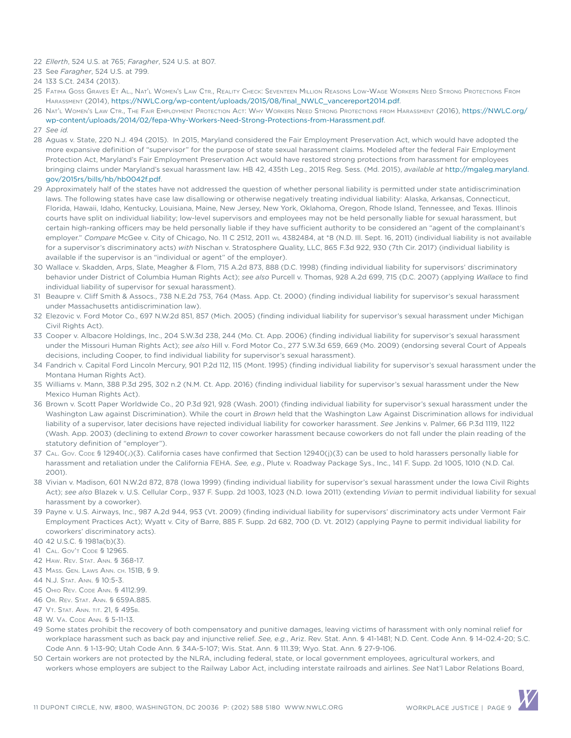- 22 *Ellerth*, 524 U.S. at 765; *Faragher*, 524 U.S. at 807.
- 23 See *Faragher*, 524 U.S. at 799.

- 25 Fatima Goss Graves Et Al., Nat'<sup>l</sup> Women'<sup>s</sup> Law Ctr., Reality Check: Seventeen Million Reasons Low-Wage Workers Need Strong Protections From Harassment (2014), [https://NWLC.org/wp-content/uploads/2015/08/final\\_NWLC\\_vancereport2014.pdf](https://nwlc.org/wp-content/uploads/2015/08/final_nwlc_vancereport2014.pdf).
- 26 Nat'<sup>l</sup> Women'<sup>s</sup> Law Ctr., The Fair Employment Protection Act: Why Workers Need Strong Protections from Harassment (2016), [https://NWLC.org/](https://nwlc.org/wp-content/uploads/2014/02/fepa-Why-Workers-Need-Strong-Protections-from-Harassment.pdf) [wp-content/uploads/2014/02/fepa-Why-Workers-Need-Strong-Protections-from-Harassment.pdf](https://nwlc.org/wp-content/uploads/2014/02/fepa-Why-Workers-Need-Strong-Protections-from-Harassment.pdf).
- 27 *See id.*
- 28 Aguas v. State, 220 N.J. 494 (2015). In 2015, Maryland considered the Fair Employment Preservation Act, which would have adopted the more expansive definition of "supervisor" for the purpose of state sexual harassment claims. Modeled after the federal Fair Employment Protection Act, Maryland's Fair Employment Preservation Act would have restored strong protections from harassment for employees bringing claims under Maryland's sexual harassment law. HB 42, 435th Leg., 2015 Reg. Sess. (Md. 2015), *available at* [http://mgaleg.maryland.](ttp://mgaleg.maryland.gov/2015rs/bills/hb/hb0042f.pdf) [gov/2015rs/bills/hb/hb0042f.pdf](ttp://mgaleg.maryland.gov/2015rs/bills/hb/hb0042f.pdf).
- 29 Approximately half of the states have not addressed the question of whether personal liability is permitted under state antidiscrimination laws. The following states have case law disallowing or otherwise negatively treating individual liability: Alaska, Arkansas, Connecticut, Florida, Hawaii, Idaho, Kentucky, Louisiana, Maine, New Jersey, New York, Oklahoma, Oregon, Rhode Island, Tennessee, and Texas. Illinois courts have split on individual liability; low-level supervisors and employees may not be held personally liable for sexual harassment, but certain high-ranking officers may be held personally liable if they have sufficient authority to be considered an "agent of the complainant's employer." Compare McGee v. City of Chicago, No. 11 C 2512, 2011 wL 4382484, at \*8 (N.D. Ill. Sept. 16, 2011) (individual liability is not available for a supervisor's discriminatory acts) *with* Nischan v. Stratosphere Quality, LLC, 865 F.3d 922, 930 (7th Cir. 2017) (individual liability is available if the supervisor is an "individual or agent" of the employer).
- 30 Wallace v. Skadden, Arps, Slate, Meagher & Flom, 715 A.2d 873, 888 (D.C. 1998) (finding individual liability for supervisors' discriminatory behavior under District of Columbia Human Rights Act); *see also* Purcell v. Thomas, 928 A.2d 699, 715 (D.C. 2007) (applying *Wallace* to find individual liability of supervisor for sexual harassment).
- 31 Beaupre v. Cliff Smith & Assocs., 738 N.E.2d 753, 764 (Mass. App. Ct. 2000) (finding individual liability for supervisor's sexual harassment under Massachusetts antidiscrimination law).
- 32 Elezovic v. Ford Motor Co., 697 N.W.2d 851, 857 (Mich. 2005) (finding individual liability for supervisor's sexual harassment under Michigan Civil Rights Act).
- 33 Cooper v. Albacore Holdings, Inc., 204 S.W.3d 238, 244 (Mo. Ct. App. 2006) (finding individual liability for supervisor's sexual harassment under the Missouri Human Rights Act); *see also* Hill v. Ford Motor Co., 277 S.W.3d 659, 669 (Mo. 2009) (endorsing several Court of Appeals decisions, including Cooper, to find individual liability for supervisor's sexual harassment).
- 34 Fandrich v. Capital Ford Lincoln Mercury, 901 P.2d 112, 115 (Mont. 1995) (finding individual liability for supervisor's sexual harassment under the Montana Human Rights Act).
- 35 Williams v. Mann, 388 P.3d 295, 302 n.2 (N.M. Ct. App. 2016) (finding individual liability for supervisor's sexual harassment under the New Mexico Human Rights Act).
- 36 Brown v. Scott Paper Worldwide Co., 20 P.3d 921, 928 (Wash. 2001) (finding individual liability for supervisor's sexual harassment under the Washington Law against Discrimination). While the court in *Brown* held that the Washington Law Against Discrimination allows for individual liability of a supervisor, later decisions have rejected individual liability for coworker harassment. *See* Jenkins v. Palmer, 66 P.3d 1119, 1122 (Wash. App. 2003) (declining to extend *Brown* to cover coworker harassment because coworkers do not fall under the plain reading of the statutory definition of "employer").
- 37 CAL. Gov. Cope § 12940(j)(3). California cases have confirmed that Section 12940(j)(3) can be used to hold harassers personally liable for harassment and retaliation under the California FEHA. *See, e.g.*, Plute v. Roadway Package Sys., Inc., 141 F. Supp. 2d 1005, 1010 (N.D. Cal. 2001).
- 38 Vivian v. Madison, 601 N.W.2d 872, 878 (Iowa 1999) (finding individual liability for supervisor's sexual harassment under the Iowa Civil Rights Act); *see also* Blazek v. U.S. Cellular Corp., 937 F. Supp. 2d 1003, 1023 (N.D. Iowa 2011) (extending *Vivian* to permit individual liability for sexual harassment by a coworker).
- 39 Payne v. U.S. Airways, Inc., 987 A.2d 944, 953 (Vt. 2009) (finding individual liability for supervisors' discriminatory acts under Vermont Fair Employment Practices Act); Wyatt v. City of Barre, 885 F. Supp. 2d 682, 700 (D. Vt. 2012) (applying Payne to permit individual liability for coworkers' discriminatory acts).
- 40 42 U.S.C. § 1981a(b)(3).
- 41 CAL. GOV'T CODE § 12965.
- 42 Haw. Rev. Stat. Ann. § 368-17.
- 43 Mass. Gen. Laws Ann. ch. 151B, § 9.
- 44 N.J. Stat. Ann. § 10:5-3.
- 45 Ohio Rev. Code Ann. § 4112.99.
- 46 Or. Rev. Stat. Ann. § 659A.885.
- 47 Vt. Stat. Ann. tit. 21, § 495b.
- 48 W. Va. Code Ann. § 5-11-13.
- 49 Some states prohibit the recovery of both compensatory and punitive damages, leaving victims of harassment with only nominal relief for workplace harassment such as back pay and injunctive relief. *See, e.g.*, Ariz. Rev. Stat. Ann. § 41-1481; N.D. Cent. Code Ann. § 14-02.4-20; S.C. Code Ann. § 1-13-90; Utah Code Ann. § 34A-5-107; Wis. Stat. Ann. § 111.39; Wyo. Stat. Ann. § 27-9-106.
- 50 Certain workers are not protected by the NLRA, including federal, state, or local government employees, agricultural workers, and workers whose employers are subject to the Railway Labor Act, including interstate railroads and airlines. *See* Nat'l Labor Relations Board,

<sup>24</sup> 133 S.Ct. 2434 (2013).